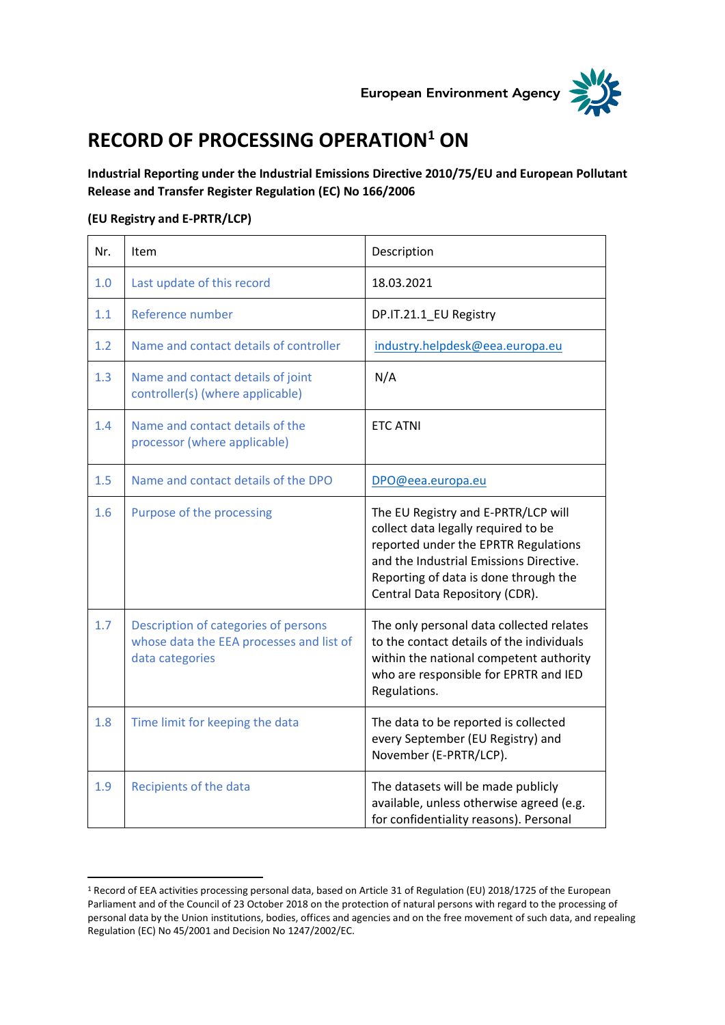



## **RECORD OF PROCESSING OPERATION<sup>1</sup> ON**

**Industrial Reporting under the Industrial Emissions Directive 2010/75/EU and European Pollutant Release and Transfer Register Regulation (EC) No 166/2006**

## **(EU Registry and E-PRTR/LCP)**

| Nr. | Item                                                                                                | Description                                                                                                                                                                                                                              |
|-----|-----------------------------------------------------------------------------------------------------|------------------------------------------------------------------------------------------------------------------------------------------------------------------------------------------------------------------------------------------|
| 1.0 | Last update of this record                                                                          | 18.03.2021                                                                                                                                                                                                                               |
| 1.1 | Reference number                                                                                    | DP.IT.21.1_EU Registry                                                                                                                                                                                                                   |
| 1.2 | Name and contact details of controller                                                              | industry.helpdesk@eea.europa.eu                                                                                                                                                                                                          |
| 1.3 | Name and contact details of joint<br>controller(s) (where applicable)                               | N/A                                                                                                                                                                                                                                      |
| 1.4 | Name and contact details of the<br>processor (where applicable)                                     | <b>ETC ATNI</b>                                                                                                                                                                                                                          |
| 1.5 | Name and contact details of the DPO                                                                 | DPO@eea.europa.eu                                                                                                                                                                                                                        |
| 1.6 | Purpose of the processing                                                                           | The EU Registry and E-PRTR/LCP will<br>collect data legally required to be<br>reported under the EPRTR Regulations<br>and the Industrial Emissions Directive.<br>Reporting of data is done through the<br>Central Data Repository (CDR). |
| 1.7 | Description of categories of persons<br>whose data the EEA processes and list of<br>data categories | The only personal data collected relates<br>to the contact details of the individuals<br>within the national competent authority<br>who are responsible for EPRTR and IED<br>Regulations.                                                |
| 1.8 | Time limit for keeping the data                                                                     | The data to be reported is collected<br>every September (EU Registry) and<br>November (E-PRTR/LCP).                                                                                                                                      |
| 1.9 | Recipients of the data                                                                              | The datasets will be made publicly<br>available, unless otherwise agreed (e.g.<br>for confidentiality reasons). Personal                                                                                                                 |

<sup>1</sup> Record of EEA activities processing personal data, based on Article 31 of Regulation (EU) 2018/1725 of the European Parliament and of the Council of 23 October 2018 on the protection of natural persons with regard to the processing of personal data by the Union institutions, bodies, offices and agencies and on the free movement of such data, and repealing Regulation (EC) No 45/2001 and Decision No 1247/2002/EC.